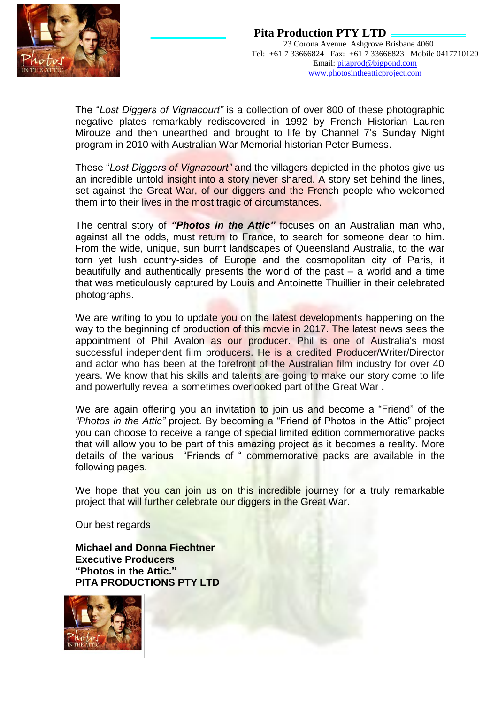

The "*Lost Diggers of Vignacourt"* is a collection of over 800 of these photographic negative plates remarkably rediscovered in 1992 by French Historian Lauren Mirouze and then unearthed and brought to life by Channel 7's Sunday Night program in 2010 with Australian War Memorial historian Peter Burness.

These "*Lost Diggers of Vignacourt"* and the villagers depicted in the photos give us an incredible untold insight into a story never shared. A story set behind the lines, set against the Great War, of our diggers and the French people who welcomed them into their lives in the most tragic of circumstances.

The central story of *"Photos in the Attic"* focuses on an Australian man who, against all the odds, must return to France, to search for someone dear to him. From the wide, unique, sun burnt landscapes of Queensland Australia, to the war torn yet lush country-sides of Europe and the cosmopolitan city of Paris, it beautifully and authentically presents the world of the past  $-$  a world and a time that was meticulously captured by Louis and Antoinette Thuillier in their celebrated photographs.

We are writing to you to update you on the latest developments happening on the way to the beginning of production of this movie in 2017. The latest news sees the appointment of Phil Avalon as our producer. Phil is one of Australia's most successful independent film producers. He is a credited Producer/Writer/Director and actor who has been at the forefront of the Australian film industry for over 40 years. We know that his skills and talents are going to make our story come to life and powerfully reveal a sometimes overlooked part of the Great War **.**

We are again offering you an invitation to join us and become a "Friend" of the *"Photos in the Attic"* project. By becoming a "Friend of Photos in the Attic" project you can choose to receive a range of special limited edition commemorative packs that will allow you to be part of this amazing project as it becomes a reality. More details of the various "Friends of " commemorative packs are available in the following pages.

We hope that you can join us on this incredible journey for a truly remarkable project that will further celebrate our diggers in the Great War.

Our best regards

**Michael and Donna Fiechtner Executive Producers "Photos in the Attic." PITA PRODUCTIONS PTY LTD**

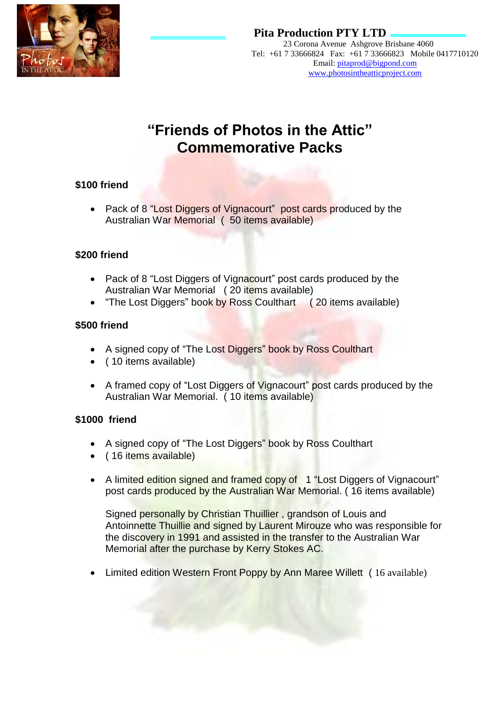

#### **Pita Production PTY LTD**  23 Corona Avenue Ashgrove Brisbane 4060 Tel: +61 7 33666824 Fax: +61 7 33666823 Mobile 0417710120 Email: pitaprod@bigpond.com www.photosintheatticproject.com

# **"Friends of Photos in the Attic" Commemorative Packs**

### **\$100 friend**

Pack of 8 "Lost Diggers of Vignacourt" post cards produced by the Australian War Memorial ( 50 items available)

#### **\$200 friend**

- Pack of 8 "Lost Diggers of Vignacourt" post cards produced by the Australian War Memorial ( 20 items available)
- "The Lost Diggers" book by Ross Coulthart (20 items available)

#### **\$500 friend**

- A signed copy of "The Lost Diggers" book by Ross Coulthart
- (10 items available)
- A framed copy of "Lost Diggers of Vignacourt" post cards produced by the Australian War Memorial. ( 10 items available)

#### **\$1000 friend**

- A signed copy of "The Lost Diggers" book by Ross Coulthart
- ( 16 items available)
- A limited edition signed and framed copy of 1 "Lost Diggers of Vignacourt" post cards produced by the Australian War Memorial. ( 16 items available)

Signed personally by Christian Thuillier , grandson of Louis and Antoinnette Thuillie and signed by Laurent Mirouze who was responsible for the discovery in 1991 and assisted in the transfer to the Australian War Memorial after the purchase by Kerry Stokes AC.

• Limited edition Western Front Poppy by Ann Maree Willett (16 available)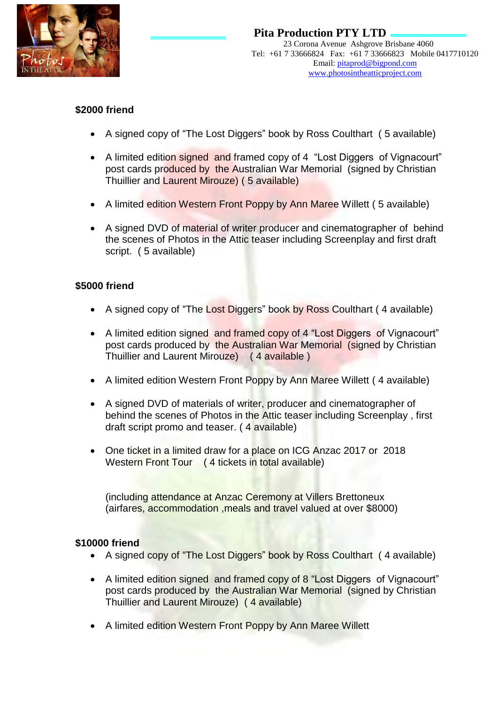

#### **\$2000 friend**

- A signed copy of "The Lost Diggers" book by Ross Coulthart ( 5 available)
- A limited edition signed and framed copy of 4 "Lost Diggers of Vignacourt" post cards produced by the Australian War Memorial (signed by Christian Thuillier and Laurent Mirouze) ( 5 available)
- A limited edition Western Front Poppy by Ann Maree Willett (5 available)
- A signed DVD of material of writer producer and cinematographer of behind the scenes of Photos in the Attic teaser including Screenplay and first draft script. ( 5 available)

#### **\$5000 friend**

- A signed copy of "The Lost Diggers" book by Ross Coulthart (4 available)
- A limited edition signed and framed copy of 4 "Lost Diggers of Vignacourt" post cards produced by the Australian War Memorial (signed by Christian Thuillier and Laurent Mirouze) ( 4 available )
- A limited edition Western Front Poppy by Ann Maree Willett ( 4 available)
- A signed DVD of materials of writer, producer and cinematographer of behind the scenes of Photos in the Attic teaser including Screenplay , first draft script promo and teaser. ( 4 available)
- One ticket in a limited draw for a place on ICG Anzac 2017 or 2018 Western Front Tour (4 tickets in total available)

(including attendance at Anzac Ceremony at Villers Brettoneux (airfares, accommodation ,meals and travel valued at over \$8000)

#### **\$10000 friend**

- A signed copy of "The Lost Diggers" book by Ross Coulthart ( 4 available)
- A limited edition signed and framed copy of 8 "Lost Diggers of Vignacourt" post cards produced by the Australian War Memorial (signed by Christian Thuillier and Laurent Mirouze) ( 4 available)
- A limited edition Western Front Poppy by Ann Maree Willett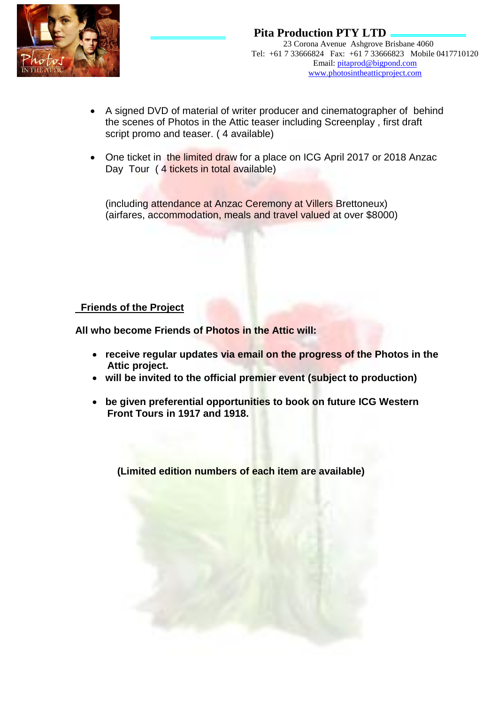

- A signed DVD of material of writer producer and cinematographer of behind the scenes of Photos in the Attic teaser including Screenplay , first draft script promo and teaser. ( 4 available)
- One ticket in the limited draw for a place on ICG April 2017 or 2018 Anzac Day Tour (4 tickets in total available)

(including attendance at Anzac Ceremony at Villers Brettoneux) (airfares, accommodation, meals and travel valued at over \$8000)

#### **Friends of the Project**

**All who become Friends of Photos in the Attic will:**

- **receive regular updates via email on the progress of the Photos in the Attic project.**
- **will be invited to the official premier event (subject to production)**
- **be given preferential opportunities to book on future ICG Western Front Tours in 1917 and 1918.**

 **(Limited edition numbers of each item are available)**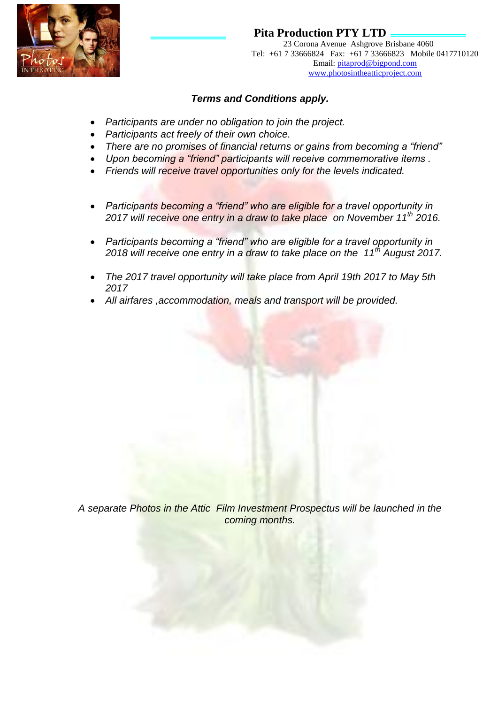

## **Pita Production PTY LTD**

 23 Corona Avenue Ashgrove Brisbane 4060 Tel: +61 7 33666824 Fax: +61 7 33666823 Mobile 0417710120 Email: pitaprod@bigpond.com www.photosintheatticproject.com

#### *Terms and Conditions apply.*

- *Participants are under no obligation to join the project.*
- *Participants act freely of their own choice.*
- *There are no promises of financial returns or gains from becoming a "friend"*
- *Upon becoming a "friend" participants will receive commemorative items .*
- *Friends will receive travel opportunities only for the levels indicated.*
- *Participants becoming a "friend" who are eligible for a travel opportunity in 2017 will receive one entry in a draw to take place on November 11th 2016.*
- *Participants becoming a "friend" who are eligible for a travel opportunity in 2018 will receive one entry in a draw to take place on the 11th August 2017.*
- *The 2017 travel opportunity will take place from April 19th 2017 to May 5th 2017*
- *All airfares ,accommodation, meals and transport will be provided.*

*A separate Photos in the Attic Film Investment Prospectus will be launched in the coming months.*